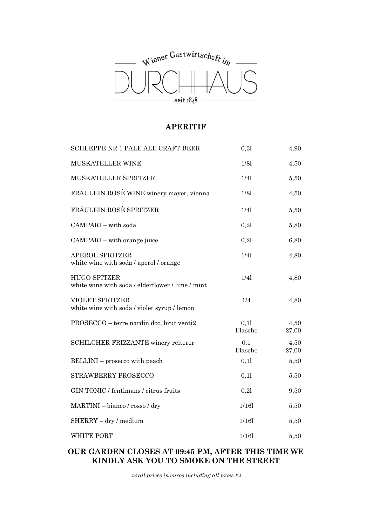

### **APERITIF**

| SCHLEPPE NR 1 PALE ALE CRAFT BEER                                       | 0,31            | 4,90          |
|-------------------------------------------------------------------------|-----------------|---------------|
| MUSKATELLER WINE                                                        | 1/81            | 4,50          |
| MUSKATELLER SPRITZER                                                    | 1/41            | 5,50          |
| FRÄULEIN ROSÈ WINE winery mayer, vienna                                 | 1/81            | 4,50          |
| FRÄULEIN ROSÈ SPRITZER                                                  | 1/4             | 5,50          |
| CAMPARI - with soda                                                     | 0,21            | 5,80          |
| CAMPARI - with orange juice                                             | 0,21            | 6,80          |
| <b>APEROL SPRITZER</b><br>white wine with soda / aperol / orange        | 1/4             | 4,80          |
| <b>HUGO SPITZER</b><br>white wine with soda / elderflower / lime / mint | 1/4             | 4,80          |
| <b>VIOLET SPRITZER</b><br>white wine with soda / violet syrup / lemon   | 1/4             | 4,80          |
| PROSECCO - terre nardin doc, brut venti2                                | 0,11<br>Flasche | 4,50<br>27,00 |
| SCHILCHER FRIZZANTE winery reiterer                                     | 0,1<br>Flasche  | 4,50<br>27,00 |
| BELLINI – prosecco with peach                                           | 0,11            | 5,50          |
| STRAWBERRY PROSECCO                                                     | 0,11            | 5,50          |
| GIN TONIC / fentimans / citrus fruits                                   | 0,21            | $9{,}50$      |
| MARTINI - bianco / rosso / dry                                          | 1/161           | 5,50          |
| $SHERRY - dry / medium$                                                 | 1/161           | 5,50          |
| <b>WHITE PORT</b>                                                       | 1/161           | 5,50          |

# **OUR GARDEN CLOSES AT 09:45 PM, AFTER THIS TIME WE KINDLY ASK YOU TO SMOKE ON THE STREET**

 $\alpha$ *all prices in euros including all taxes*  $\infty$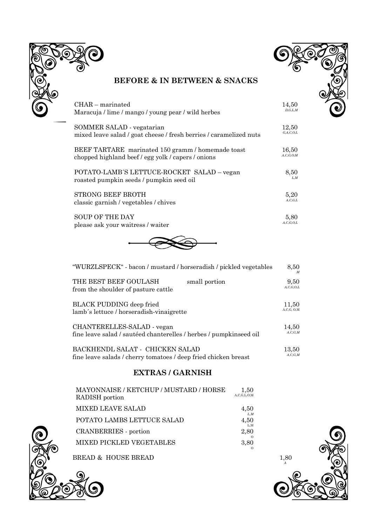



# **BEFORE & IN BETWEEN & SNACKS**

| $CHAR$ – marinated                                                 | 14,50         |
|--------------------------------------------------------------------|---------------|
| Maracuja / lime / mango / young pear / wild herbes                 | D, G, L, M    |
| SOMMER SALAD - vegatarian                                          | 12,50         |
| mixed leave salad / goat cheese / fresh berries / caramelized nuts | G.A.C.O.L     |
| BEEF TARTARE marinated 150 gramm / homemade toast                  | 16.50         |
| chopped highland beef / egg yolk / capers / onions                 | A, C, G, O; M |
| POTATO-LAMB'S LETTUCE-ROCKET SALAD – vegan                         | 8,50          |
| roasted pumpkin seeds / pumpkin seed oil                           | L.M           |
| <b>STRONG BEEF BROTH</b>                                           | 5,20          |
| classic garnish / vegetables / chives                              | A, C, G, L    |
| <b>SOUP OF THE DAY</b>                                             | 5.80          |
| please ask your waitress / waiter                                  | A, C, G, O, L |



| "WURZLSPECK" - bacon / mustard / horseradish / pickled vegetables             | 8,50                  |
|-------------------------------------------------------------------------------|-----------------------|
| THE BEST BEEF GOULASH<br>small portion<br>from the shoulder of pasture cattle | 9,50<br>A, C, G, O, L |
| BLACK PUDDING deep fried                                                      | 11,50                 |
| lamb's lettuce / horseradish-vinaigrette                                      | A, C, G, O, M         |
| CHANTERELLES-SALAD - vegan                                                    | 14,50                 |
| fine leave salad / sautéed chanterelles / herbes / pumpkinseed oil            | A, C, G, M            |
| BACKHENDL SALAT - CHICKEN SALAD                                               | 13,50                 |
| fine leave salads / cherry tomatoes / deep fried chicken breast               | A, C, G, M            |

# **EXTRAS / GARNISH**

| MAYONNAISE / KETCHUP / MUSTARD / HORSE<br>RADISH portion | 1,50<br>A, C, G, L, O; M |
|----------------------------------------------------------|--------------------------|
| MIXED LEAVE SALAD                                        | 4,50                     |
| POTATO LAMBS LETTUCE SALAD                               | L.M<br>4,50              |
| CRANBERRIES - portion                                    | L,M<br>2,80              |
| MIXED PICKLED VEGETABLES                                 | 3,80                     |
|                                                          |                          |



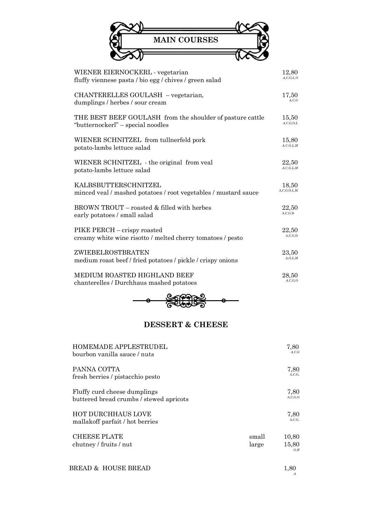| <b>MAIN COURSES</b> |  |
|---------------------|--|
|                     |  |

| WIENER EIERNOCKERL - vegetarian                                 | 12,80            |
|-----------------------------------------------------------------|------------------|
| fluffy viennese pasta / bio egg / chives / green salad          | A, C, G, L, O    |
| CHANTERELLES GOULASH - vegetarian,                              | 17,50            |
| dumplings / herbes / sour cream                                 | A, C, G          |
| THE BEST BEEF GOULASH from the shoulder of pasture cattle       | 15,50            |
| "butternockerl" – special noodles                               | A, C, G, O, L    |
| WIENER SCHNITZEL from tullnerfeld pork                          | 15,80            |
| potato-lambs lettuce salad                                      | A, C, G, L, M    |
| WIENER SCHNITZEL - the original from veal                       | 22,50            |
| potato-lambs lettuce salad                                      | A, C, G, L, M    |
| KALBSBUTTERSCHNITZEL                                            | 18,50            |
| minced veal / mashed potatoes / root vegetables / mustard sauce | A, C, G, O, L, M |
| BROWN TROUT – roasted & filled with herbes                      | 22,50            |
| early potatoes / small salad                                    | A, C, G, D       |
| PIKE PERCH – crispy roasted                                     | 22,50            |
| creamy white wine risotto / melted cherry tomatoes / pesto      | A, C, G, D       |
| ZWIEBELROSTBRATEN                                               | 23.50            |
| medium roast beef / fried potatoes / pickle / crispy onions     | A, O, L, M       |
| MEDIUM ROASTED HIGHLAND BEEF                                    | 28,50            |
| chanterelles / Durchhaus mashed potatoes                        | A, C, G, O       |



# **DESSERT & CHEESE**

| <b>HOMEMADE APPLESTRUDEL</b><br>bourbon vanilla sauce / nuts            |                | 7,80<br>A.C.G         |
|-------------------------------------------------------------------------|----------------|-----------------------|
| PANNA COTTA<br>fresh berries / pistacchio pesto                         |                | 7,80<br>A, C, G,      |
| Fluffy curd cheese dumplings<br>buttered bread crumbs / stewed apricots |                | 7,80<br>A, C, G, O    |
| <b>HOT DURCHHAUS LOVE</b><br>mallakoff parfait / hot berries            |                | 7,80<br>A.C.G.        |
| <b>CHEESE PLATE</b><br>chutney / fruits / nut                           | small<br>large | 10,80<br>15,80<br>G.H |
| BREAD & HOUSE BREAD                                                     |                | 1,80<br>A             |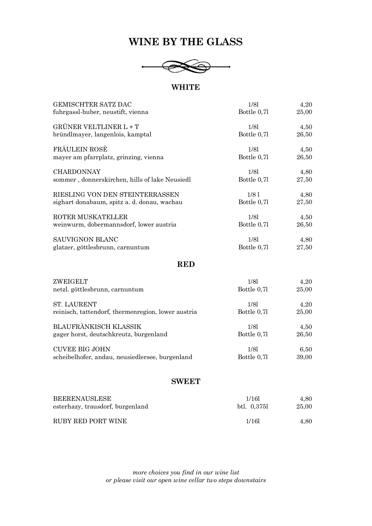# **WINE BY THE GLASS**



#### **WHITE**

| <b>GEMISCHTER SATZ DAC</b>                         | 1/81             | 4,20  |
|----------------------------------------------------|------------------|-------|
| fuhrgassl-huber, neustift, vienna                  | Bottle 0,71      | 25,00 |
| GRÜNER VELTLINER L + T                             | 1/81             | 4,50  |
| bründlmayer, langenlois, kamptal                   | Bottle 0,71      | 26,50 |
| FRÄULEIN ROSÈ                                      | 1/81             | 4,50  |
| mayer am pfarrplatz, grinzing, vienna              | Bottle 0,71      | 26,50 |
| <b>CHARDONNAY</b>                                  | 1/81             | 4,80  |
| sommer, donnerskirchen, hills of lake Neusiedl     | Bottle 0,71      | 27,50 |
| RIESLING VON DEN STEINTERRASSEN                    | 1/8 <sub>1</sub> | 4,80  |
| sighart donabaum, spitz a. d. donau, wachau        | Bottle 0,71      | 27,50 |
| ROTER MUSKATELLER                                  | 1/81             | 4,50  |
| weinwurm, dobermannsdorf, lower austria            | Bottle 0,71      | 26,50 |
| <b>SAUVIGNON BLANC</b>                             | 1/81             | 4,80  |
| glatzer, göttlesbrunn, carnuntum                   | Bottle 0,7l      | 27,50 |
| <b>RED</b>                                         |                  |       |
| ZWEIGELT                                           | 1/81             | 4,20  |
| netzl. göttlesbrunn, carnuntum                     | Bottle 0,71      | 25,00 |
| <b>ST. LAURENT</b>                                 | 1/81             | 4,20  |
| reinisch, tattendorf, thermenregion, lower austria | Bottle 0,71      | 25,00 |

BLAUFRÄNKISCH KLASSIK gager horst, deutschkreutz, burgenland 1/8l Bottle 0,7l 4,50 26,50 CUVEE BIG JOHN scheibelhofer, andau, neusiedlersee, burgenland 1/8l Bottle 0,7l 6,50 39,00

#### **SWEET**

| <b>BEERENAUSLESE</b>             | 1/16        | 4.80  |
|----------------------------------|-------------|-------|
| esterhazy, trausdorf, burgenland | btl. 0.3751 | 25,00 |
| RUBY RED PORT WINE               | 1/16        | 4,80  |

*more choices you find in our wine list or please visit our open wine cellar two steps downstairs*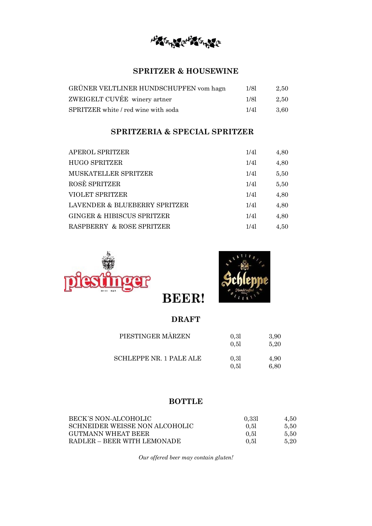Horace Ho

# **SPRITZER & HOUSEWINE**

| GRÜNER VELTLINER HUNDSCHUPFEN vom hagn | 1/81 | 2.50  |
|----------------------------------------|------|-------|
| ZWEIGELT CUVÉE winery artner           | 1/81 | 2.50  |
| SPRITZER white / red wine with soda    | 1/41 | -3.60 |

# **SPRITZERIA & SPECIAL SPRITZER**

| APEROL SPRITZER               | 1/41 | 4,80 |
|-------------------------------|------|------|
| <b>HUGO SPRITZER</b>          | 1/41 | 4,80 |
| MUSKATELLER SPRITZER          | 1/41 | 5,50 |
| ROSÈ SPRITZER                 | 1/41 | 5,50 |
| VIOLET SPRITZER               | 1/41 | 4,80 |
| LAVENDER & BLUEBERRY SPRITZER | 1/41 | 4,80 |
| GINGER & HIBISCUS SPRITZER    | 1/41 | 4,80 |
| RASPBERRY & ROSE SPRITZER     | 1/41 | 4,50 |





# **DRAFT**

 **BEER!** 

| PIESTINGER MÄRZEN              | 0.31<br>0.51 | 3,90<br>5.20 |
|--------------------------------|--------------|--------------|
| <b>SCHLEPPE NR. 1 PALE ALE</b> | 0.31<br>0.51 | 4,90<br>6,80 |

# **BOTTLE**

| BECK'S NON-ALCOHOLIC           | 0.331 | 4.50 |
|--------------------------------|-------|------|
| SCHNEIDER WEISSE NON ALCOHOLIC | 0.51  | 5.50 |
| GUTMANN WHEAT BEER             | 0.51  | 5.50 |
| RADLER – BEER WITH LEMONADE    | 0.51  | 5.20 |

*Our offered beer may contain gluten!*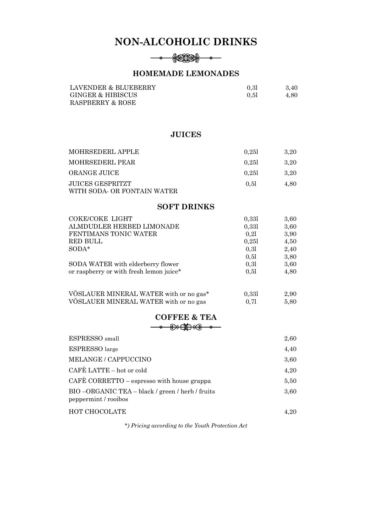# **NON-ALCOHOLIC DRINKS**

#### $-\bullet$

# **HOMEMADE LEMONADES**

| LAVENDER & BLUEBERRY | 0.31 | 3.40 |
|----------------------|------|------|
| GINGER & HIBISCUS    | 0.51 | 4.80 |
| RASPBERRY & ROSE     |      |      |

### **JUICES**

| MOHRSEDERL APPLE                                | 0.251 | 3.20 |
|-------------------------------------------------|-------|------|
| MOHRSEDERL PEAR                                 | 0.251 | 3.20 |
| ORANGE JUICE                                    | 0.251 | 3.20 |
| JUICES GESPRITZT<br>WITH SODA- OR FONTAIN WATER | 0.51  | 4.80 |

#### **SOFT DRINKS**

| COKE/COKE LIGHT                         | 0,331 | 3,60 |
|-----------------------------------------|-------|------|
| ALMDUDLER HERBED LIMONADE               | 0,331 | 3,60 |
| FENTIMANS TONIC WATER                   | 0.21  | 3,90 |
| RED BULL                                | 0.251 | 4,50 |
| $SODA^*$                                | 0.31  | 2,40 |
|                                         | 0.51  | 3,80 |
| SODA WATER with elderberry flower       | 0,31  | 3,60 |
| or raspberry or with fresh lemon juice* | 0.51  | 4,80 |
|                                         |       |      |
|                                         |       |      |

| VÖSLAUER MINERAL WATER with or no gas* | 0.331 | 2,90 |
|----------------------------------------|-------|------|
| VÖSLAUER MINERAL WATER with or no gas  | 0.71  | 5.80 |

# **COFFEE & TEA**

| ESPRESSO <sub>small</sub>                                               | 2,60 |
|-------------------------------------------------------------------------|------|
| <b>ESPRESSO</b> large                                                   | 4,40 |
| MELANGE / CAPPUCCINO                                                    | 3,60 |
| CAFÈ LATTE – hot or cold                                                | 4,20 |
| CAFÈ CORRETTO - espresso with house grappa                              | 5,50 |
| BIO-ORGANIC TEA - black / green / herb / fruits<br>peppermint / rooibos | 3,60 |
| HOT CHOCOLATE                                                           | 4.20 |

*\*) Pricing according to the Youth Protection Act*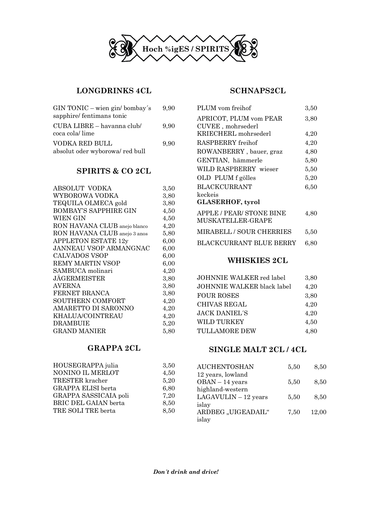

### **LONGDRINKS 4CL**

| $GIN TONIC - wien gin/bombay's$<br>sapphire/fentimans tonic | 9.90 |
|-------------------------------------------------------------|------|
| CUBA LIBRE – havanna club/<br>coca cola/ lime               | 9.90 |
| VODKA RED BULL<br>absolut oder wyborowa/ red bull           | 9.90 |

# **SPIRITS & CO 2CL**

| ABSOLUT VODKA                | 3,50 |
|------------------------------|------|
| WYBOROWA VODKA               | 3,80 |
| TEQUILA OLMECA gold          | 3,80 |
| <b>BOMBAY'S SAPPHIRE GIN</b> | 4,50 |
| <b>WIEN GIN</b>              | 4,50 |
| RON HAVANA CLUB anejo blanco | 4,20 |
| RON HAVANA CLUB anejo 3 anos | 5,80 |
| <b>APPLETON ESTATE 12y</b>   | 6,00 |
| JANNEAU VSOP ARMANGNAC       | 6,00 |
| <b>CALVADOS VSOP</b>         | 6,00 |
| REMY MARTIN VSOP             | 6,00 |
| SAMBUCA molinari             | 4,20 |
| <b>JÄGERMEISTER</b>          | 3,80 |
| <b>AVERNA</b>                | 3,80 |
| FERNET BRANCA                | 3,80 |
| SOUTHERN COMFORT             | 4,20 |
| AMARETTO DI SARONNO          | 4,20 |
| <b>KHALUA/COINTREAU</b>      | 4,20 |
| <b>DRAMBUIE</b>              | 5,20 |
| <b>GRAND MANIER</b>          | 5,80 |
|                              |      |

# **GRAPPA 2CL**

| HOUSEGRAPPA julia     | 3,50 |
|-----------------------|------|
| NONINO IL MERLOT      | 4,50 |
| TRESTER kracher       | 5,20 |
| GRAPPA ELISI berta    | 6,80 |
| GRAPPA SASSICAIA poli | 7,20 |
| BRIC DEL GAIAN berta  | 8,50 |
| TRE SOLI TRE berta    | 8,50 |
|                       |      |

#### **SCHNAPS2CL**

| PLUM vom freihof                              | 3,50     |
|-----------------------------------------------|----------|
| APRICOT, PLUM vom PEAR<br>CUVEE, mohrsederl   | 3,80     |
| KRIECHERL mohrsederl                          | 4,20     |
| RASPBERRY freihof                             | 4,20     |
| ROWANBERRY, bauer, graz                       | 4,80     |
| GENTIAN, hämmerle                             | 5,80     |
| WILD RASPBERRY wieser                         | 5,50     |
| OLD PLUM f gölles                             | 5,20     |
| <b>BLACKCURRANT</b>                           | 6,50     |
| keckeis                                       |          |
| <b>GLASERHOF, tyrol</b>                       |          |
| APPLE / PEAR/ STONE BINE<br>MUSKATELLER-GRAPE | 4,80     |
| MIRABELL / SOUR CHERRIES                      | $5.50\,$ |
| BLACKCURRANT BLUE BERRY                       | 6,80     |

# **WHISKIES 2CL**

| JOHNNIE WALKER red label   | 3,80 |
|----------------------------|------|
| JOHNNIE WALKER black label | 4,20 |
| <b>FOUR ROSES</b>          | 3,80 |
| <b>CHIVAS REGAL</b>        | 4.20 |
| <b>JACK DANIEL'S</b>       | 4,20 |
| WILD TURKEY                | 4,50 |
| <b>TULLAMORE DEW</b>       | 4,80 |

# **SINGLE MALT 2CL / 4CL**

| <b>AUCHENTOSHAN</b>    | 5,50 | 8,50  |
|------------------------|------|-------|
| 12 years, lowland      |      |       |
| OBAN - 14 years        | 5,50 | 8.50  |
| highland-western       |      |       |
| $LAGAVULIN - 12 years$ | 5,50 | 8,50  |
| islay                  |      |       |
| ARDBEG "UIGEADAIL"     | 7,50 | 12,00 |
| islay                  |      |       |